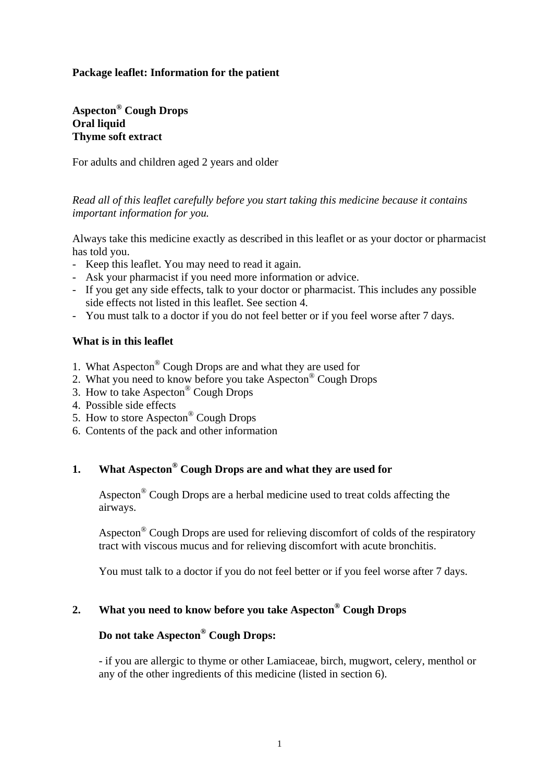### **Package leaflet: Information for the patient**

**Aspecton® Cough Drops Oral liquid Thyme soft extract** 

For adults and children aged 2 years and older

*Read all of this leaflet carefully before you start taking this medicine because it contains important information for you.* 

Always take this medicine exactly as described in this leaflet or as your doctor or pharmacist has told you.

- Keep this leaflet. You may need to read it again.
- Ask your pharmacist if you need more information or advice.
- If you get any side effects, talk to your doctor or pharmacist. This includes any possible side effects not listed in this leaflet. See section 4.
- You must talk to a doctor if you do not feel better or if you feel worse after 7 days.

#### **What is in this leaflet**

- 1. What Aspecton® Cough Drops are and what they are used for
- 2. What you need to know before you take Aspecton® Cough Drops
- 3. How to take Aspecton® Cough Drops
- 4. Possible side effects
- 5. How to store Aspecton® Cough Drops
- 6. Contents of the pack and other information

### **1. What Aspecton® Cough Drops are and what they are used for**

Aspecton® Cough Drops are a herbal medicine used to treat colds affecting the airways.

Aspecton® Cough Drops are used for relieving discomfort of colds of the respiratory tract with viscous mucus and for relieving discomfort with acute bronchitis.

You must talk to a doctor if you do not feel better or if you feel worse after 7 days.

#### **2. What you need to know before you take Aspecton® Cough Drops**

### **Do not take Aspecton® Cough Drops:**

- if you are allergic to thyme or other Lamiaceae, birch, mugwort, celery, menthol or any of the other ingredients of this medicine (listed in section 6).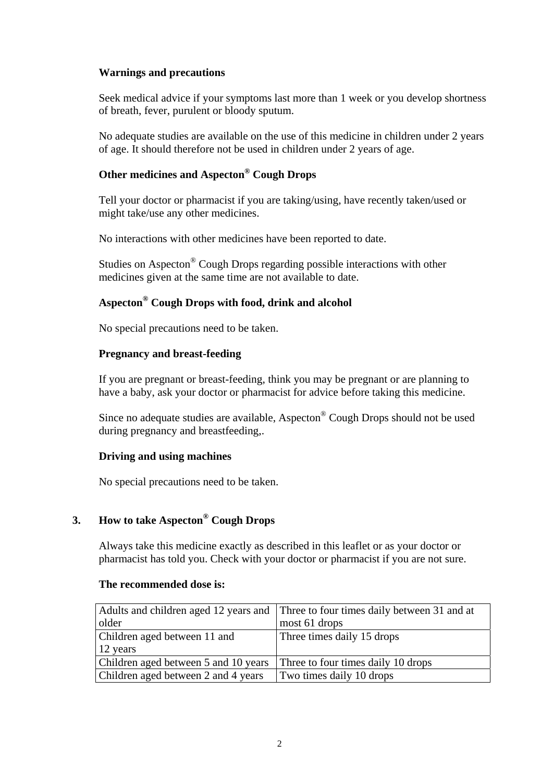### **Warnings and precautions**

Seek medical advice if your symptoms last more than 1 week or you develop shortness of breath, fever, purulent or bloody sputum.

No adequate studies are available on the use of this medicine in children under 2 years of age. It should therefore not be used in children under 2 years of age.

# **Other medicines and Aspecton® Cough Drops**

Tell your doctor or pharmacist if you are taking/using, have recently taken/used or might take/use any other medicines.

No interactions with other medicines have been reported to date.

Studies on Aspecton® Cough Drops regarding possible interactions with other medicines given at the same time are not available to date.

# **Aspecton® Cough Drops with food, drink and alcohol**

No special precautions need to be taken.

### **Pregnancy and breast-feeding**

If you are pregnant or breast-feeding, think you may be pregnant or are planning to have a baby, ask your doctor or pharmacist for advice before taking this medicine.

Since no adequate studies are available, Aspecton® Cough Drops should not be used during pregnancy and breastfeeding,.

### **Driving and using machines**

No special precautions need to be taken.

# **3. How to take Aspecton® Cough Drops**

 Always take this medicine exactly as described in this leaflet or as your doctor or pharmacist has told you. Check with your doctor or pharmacist if you are not sure.

#### **The recommended dose is:**

|                                                                         | Adults and children aged 12 years and Three to four times daily between 31 and at |
|-------------------------------------------------------------------------|-----------------------------------------------------------------------------------|
| older                                                                   | most 61 drops                                                                     |
| Children aged between 11 and                                            | Three times daily 15 drops                                                        |
| 12 years                                                                |                                                                                   |
| Children aged between 5 and 10 years Three to four times daily 10 drops |                                                                                   |
| Children aged between 2 and 4 years                                     | Two times daily 10 drops                                                          |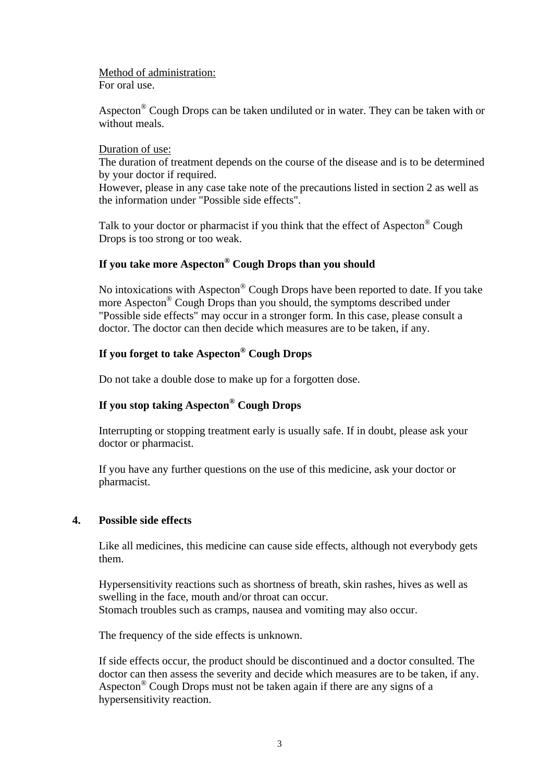Method of administration:

For oral use.

Aspecton® Cough Drops can be taken undiluted or in water. They can be taken with or without meals.

#### Duration of use:

The duration of treatment depends on the course of the disease and is to be determined by your doctor if required.

However, please in any case take note of the precautions listed in section 2 as well as the information under "Possible side effects".

Talk to your doctor or pharmacist if you think that the effect of Aspecton® Cough Drops is too strong or too weak.

# **If you take more Aspecton® Cough Drops than you should**

No intoxications with Aspecton® Cough Drops have been reported to date. If you take more Aspecton® Cough Drops than you should, the symptoms described under "Possible side effects" may occur in a stronger form. In this case, please consult a doctor. The doctor can then decide which measures are to be taken, if any.

### **If you forget to take Aspecton® Cough Drops**

Do not take a double dose to make up for a forgotten dose.

### **If you stop taking Aspecton® Cough Drops**

Interrupting or stopping treatment early is usually safe. If in doubt, please ask your doctor or pharmacist.

If you have any further questions on the use of this medicine, ask your doctor or pharmacist.

### **4. Possible side effects**

Like all medicines, this medicine can cause side effects, although not everybody gets them.

Hypersensitivity reactions such as shortness of breath, skin rashes, hives as well as swelling in the face, mouth and/or throat can occur. Stomach troubles such as cramps, nausea and vomiting may also occur.

The frequency of the side effects is unknown.

If side effects occur, the product should be discontinued and a doctor consulted. The doctor can then assess the severity and decide which measures are to be taken, if any. Aspecton® Cough Drops must not be taken again if there are any signs of a hypersensitivity reaction.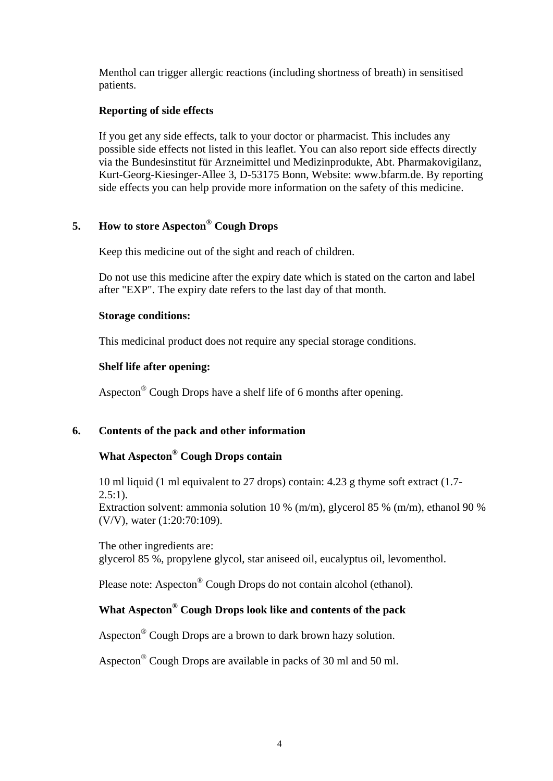Menthol can trigger allergic reactions (including shortness of breath) in sensitised patients.

### **Reporting of side effects**

If you get any side effects, talk to your doctor or pharmacist. This includes any possible side effects not listed in this leaflet. You can also report side effects directly via the Bundesinstitut für Arzneimittel und Medizinprodukte, Abt. Pharmakovigilanz, Kurt-Georg-Kiesinger-Allee 3, D-53175 Bonn, Website: www.bfarm.de. By reporting side effects you can help provide more information on the safety of this medicine.

### **5. How to store Aspecton® Cough Drops**

Keep this medicine out of the sight and reach of children.

Do not use this medicine after the expiry date which is stated on the carton and label after "EXP". The expiry date refers to the last day of that month.

### **Storage conditions:**

This medicinal product does not require any special storage conditions.

### **Shelf life after opening:**

Aspecton® Cough Drops have a shelf life of 6 months after opening.

### **6. Contents of the pack and other information**

# **What Aspecton® Cough Drops contain**

10 ml liquid (1 ml equivalent to 27 drops) contain: 4.23 g thyme soft extract (1.7-  $2.5:1$ ).

Extraction solvent: ammonia solution 10 % (m/m), glycerol 85 % (m/m), ethanol 90 % (V/V), water (1:20:70:109).

The other ingredients are: glycerol 85 %, propylene glycol, star aniseed oil, eucalyptus oil, levomenthol.

Please note: Aspecton® Cough Drops do not contain alcohol (ethanol).

# **What Aspecton® Cough Drops look like and contents of the pack**

Aspecton® Cough Drops are a brown to dark brown hazy solution.

Aspecton® Cough Drops are available in packs of 30 ml and 50 ml.